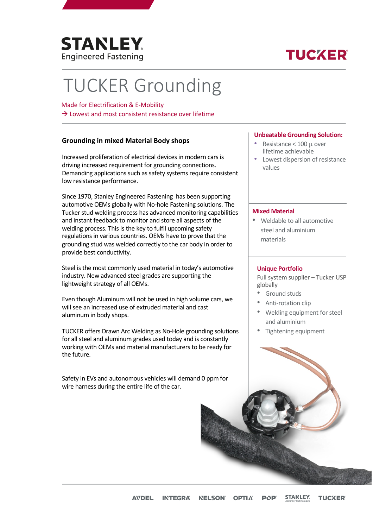

## **TUCKER**

# TUCKER Grounding

#### Made for Electrification & E-Mobility

 $\rightarrow$  Lowest and most consistent resistance over lifetime

### **Grounding in mixed Material Body shops**

Increased proliferation of electrical devices in modern cars is driving increased requirement for grounding connections. Demanding applications such as safety systems require consistent low resistance performance.

Since 1970, Stanley Engineered Fastening has been supporting automotive OEMs globally with No-hole Fastening solutions. The Tucker stud welding process has advanced monitoring capabilities and instant feedback to monitor and store all aspects of the welding process. This is the key to fulfil upcoming safety regulations in various countries. OEMs have to prove that the grounding stud was welded correctly to the car body in order to provide best conductivity.

Steel is the most commonly used material in today's automotive industry. New advanced steel grades are supporting the lightweight strategy of all OEMs.

Even though Aluminum will not be used in high volume cars, we will see an increased use of extruded material and cast aluminum in body shops.

TUCKER offers Drawn Arc Welding as No-Hole grounding solutions for all steel and aluminum grades used today and is constantly working with OEMs and material manufacturers to be ready for the future.

Safety in EVs and autonomous vehicles will demand 0 ppm for wire harness during the entire life of the car.

#### **Unbeatable Grounding Solution:**

- Resistance < 100 µ over lifetime achievable
- Lowest dispersion of resistance values

#### **Mixed Material**

• Weldable to all automotive steel and aluminium materials

#### **Unique Portfolio**

Full system supplier – Tucker USP globally

- Ground studs
- Anti-rotation clip
- Welding equipment for steel and aluminium
- Tightening equipment